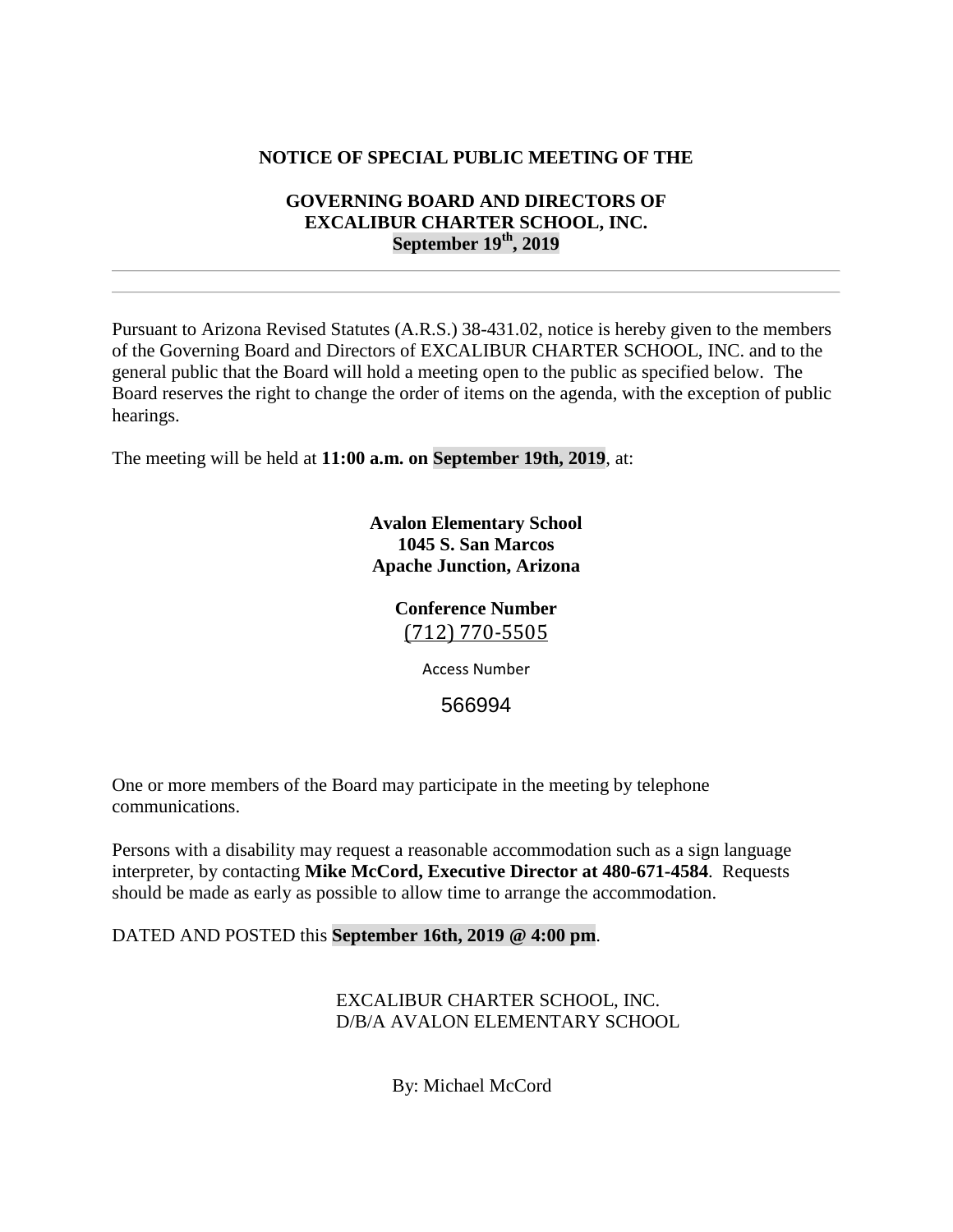## **NOTICE OF SPECIAL PUBLIC MEETING OF THE**

## **GOVERNING BOARD AND DIRECTORS OF EXCALIBUR CHARTER SCHOOL, INC. September 19th, 2019**

Pursuant to Arizona Revised Statutes (A.R.S.) 38-431.02, notice is hereby given to the members of the Governing Board and Directors of EXCALIBUR CHARTER SCHOOL, INC. and to the general public that the Board will hold a meeting open to the public as specified below. The Board reserves the right to change the order of items on the agenda, with the exception of public hearings.

The meeting will be held at **11:00 a.m. on September 19th, 2019**, at:

**Avalon Elementary School 1045 S. San Marcos Apache Junction, Arizona**

# **Conference Number** [\(712\) 770-5505](tel:(712)%20770-5505)

Access Number

566994

One or more members of the Board may participate in the meeting by telephone communications.

Persons with a disability may request a reasonable accommodation such as a sign language interpreter, by contacting **Mike McCord, Executive Director at 480-671-4584**. Requests should be made as early as possible to allow time to arrange the accommodation.

DATED AND POSTED this **September 16th, 2019 @ 4:00 pm**.

EXCALIBUR CHARTER SCHOOL, INC. D/B/A AVALON ELEMENTARY SCHOOL

By: Michael McCord